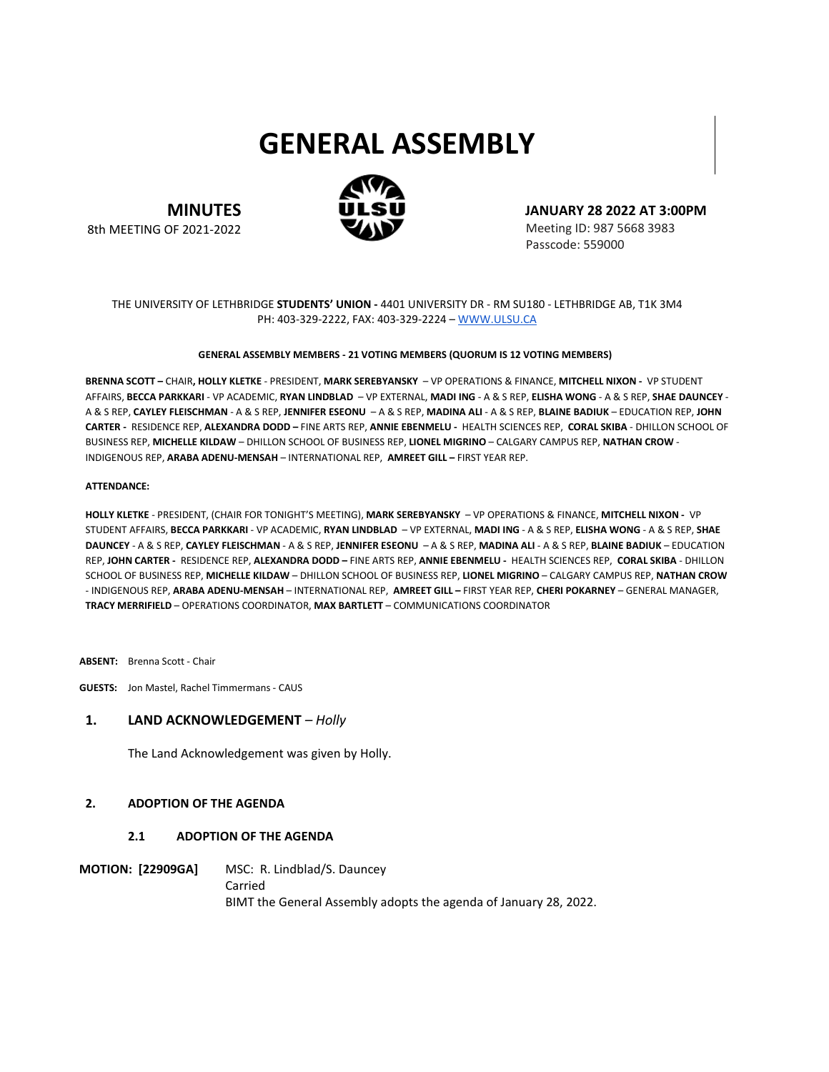# **GENERAL ASSEMBLY**

**MINUTES**

8th MEETING OF 2021-2022

**JANUARY 28 2022 AT 3:00PM**

Meeting ID: 987 5668 3983 Passcode: 559000

#### THE UNIVERSITY OF LETHBRIDGE **STUDENTS' UNION -** 4401 UNIVERSITY DR - RM SU180 - LETHBRIDGE AB, T1K 3M4 PH: 403-329-2222, FAX: 403-329-2224 – [WWW.ULSU.CA](http://www.ulsu.ca/)

#### **GENERAL ASSEMBLY MEMBERS - 21 VOTING MEMBERS (QUORUM IS 12 VOTING MEMBERS)**

**BRENNA SCOTT –** CHAIR**, HOLLY KLETKE** - PRESIDENT, **MARK SEREBYANSKY** – VP OPERATIONS & FINANCE, **MITCHELL NIXON -** VP STUDENT AFFAIRS, **BECCA PARKKARI** - VP ACADEMIC, **RYAN LINDBLAD** – VP EXTERNAL, **MADI ING** - A & S REP, **ELISHA WONG** - A & S REP, **SHAE DAUNCEY** - A & S REP, **CAYLEY FLEISCHMAN** - A & S REP, **JENNIFER ESEONU** – A & S REP, **MADINA ALI** - A & S REP, **BLAINE BADIUK** – EDUCATION REP, **JOHN CARTER -** RESIDENCE REP, **ALEXANDRA DODD –** FINE ARTS REP, **ANNIE EBENMELU -** HEALTH SCIENCES REP, **CORAL SKIBA** - DHILLON SCHOOL OF BUSINESS REP, **MICHELLE KILDAW** – DHILLON SCHOOL OF BUSINESS REP, **LIONEL MIGRINO** – CALGARY CAMPUS REP, **NATHAN CROW** - INDIGENOUS REP, **ARABA ADENU-MENSAH** – INTERNATIONAL REP, **AMREET GILL –** FIRST YEAR REP.

#### **ATTENDANCE:**

**HOLLY KLETKE** - PRESIDENT, (CHAIR FOR TONIGHT'S MEETING), **MARK SEREBYANSKY** – VP OPERATIONS & FINANCE, **MITCHELL NIXON -** VP STUDENT AFFAIRS, **BECCA PARKKARI** - VP ACADEMIC, **RYAN LINDBLAD** – VP EXTERNAL, **MADI ING** - A & S REP, **ELISHA WONG** - A & S REP, **SHAE DAUNCEY** - A & S REP, **CAYLEY FLEISCHMAN** - A & S REP, **JENNIFER ESEONU** – A & S REP, **MADINA ALI** - A & S REP, **BLAINE BADIUK** – EDUCATION REP, **JOHN CARTER -** RESIDENCE REP, **ALEXANDRA DODD –** FINE ARTS REP, **ANNIE EBENMELU -** HEALTH SCIENCES REP, **CORAL SKIBA** - DHILLON SCHOOL OF BUSINESS REP, **MICHELLE KILDAW** – DHILLON SCHOOL OF BUSINESS REP, **LIONEL MIGRINO** – CALGARY CAMPUS REP, **NATHAN CROW**  - INDIGENOUS REP, **ARABA ADENU-MENSAH** – INTERNATIONAL REP, **AMREET GILL –** FIRST YEAR REP, **CHERI POKARNEY** – GENERAL MANAGER, **TRACY MERRIFIELD** – OPERATIONS COORDINATOR, **MAX BARTLETT** – COMMUNICATIONS COORDINATOR

**ABSENT:** Brenna Scott - Chair

**GUESTS:** Jon Mastel, Rachel Timmermans - CAUS

#### **1. LAND ACKNOWLEDGEMENT** *– Holly*

The Land Acknowledgement was given by Holly.

#### **2. ADOPTION OF THE AGENDA**

#### **2.1 ADOPTION OF THE AGENDA**

**MOTION: [22909GA]** MSC: R. Lindblad/S. Dauncey Carried BIMT the General Assembly adopts the agenda of January 28, 2022.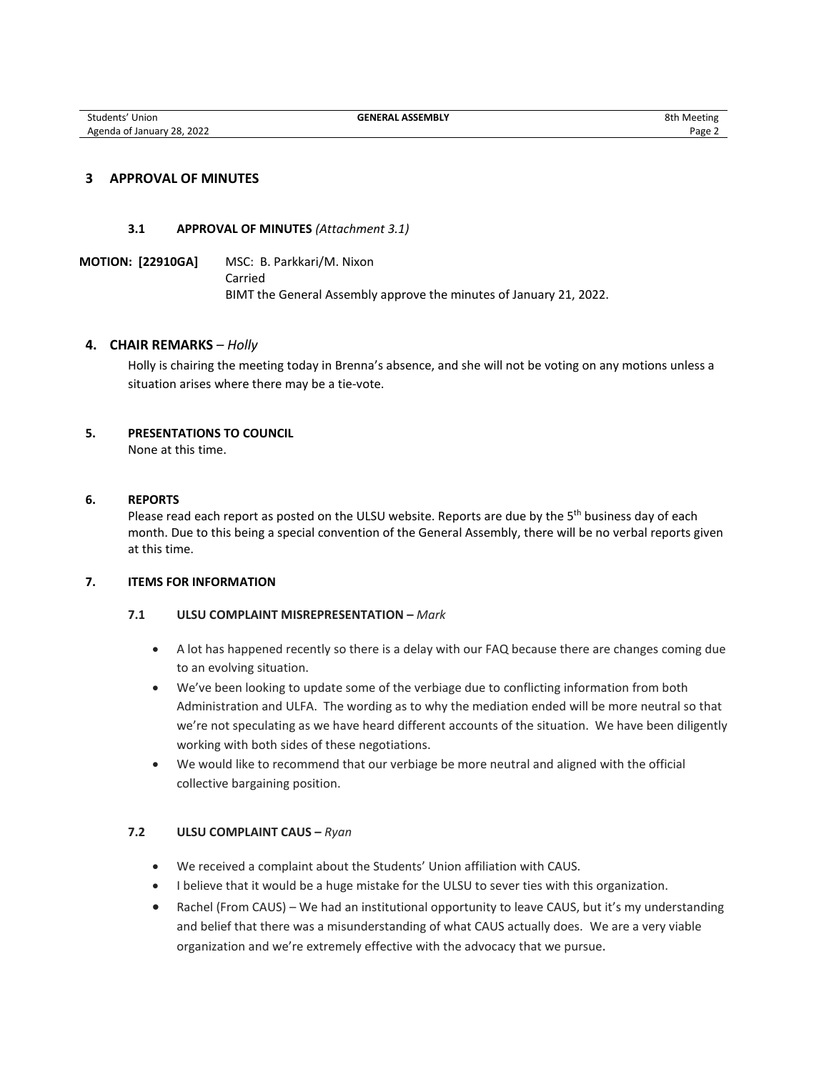# **3 APPROVAL OF MINUTES**

#### **3.1 APPROVAL OF MINUTES** *(Attachment 3.1)*

**MOTION: [22910GA]** MSC: B. Parkkari/M. Nixon Carried BIMT the General Assembly approve the minutes of January 21, 2022.

## **4. CHAIR REMARKS** *– Holly*

Holly is chairing the meeting today in Brenna's absence, and she will not be voting on any motions unless a situation arises where there may be a tie-vote.

# **5. PRESENTATIONS TO COUNCIL**

None at this time.

#### **6. REPORTS**

Please read each report as posted on the ULSU website. Reports are due by the 5<sup>th</sup> business day of each month. Due to this being a special convention of the General Assembly, there will be no verbal reports given at this time.

#### **7. ITEMS FOR INFORMATION**

# **7.1 ULSU COMPLAINT MISREPRESENTATION –** *Mark*

- A lot has happened recently so there is a delay with our FAQ because there are changes coming due to an evolving situation.
- We've been looking to update some of the verbiage due to conflicting information from both Administration and ULFA. The wording as to why the mediation ended will be more neutral so that we're not speculating as we have heard different accounts of the situation. We have been diligently working with both sides of these negotiations.
- We would like to recommend that our verbiage be more neutral and aligned with the official collective bargaining position.

# **7.2 ULSU COMPLAINT CAUS –** *Ryan*

- We received a complaint about the Students' Union affiliation with CAUS.
- I believe that it would be a huge mistake for the ULSU to sever ties with this organization.
- Rachel (From CAUS) We had an institutional opportunity to leave CAUS, but it's my understanding and belief that there was a misunderstanding of what CAUS actually does.We are a very viable organization and we're extremely effective with the advocacy that we pursue.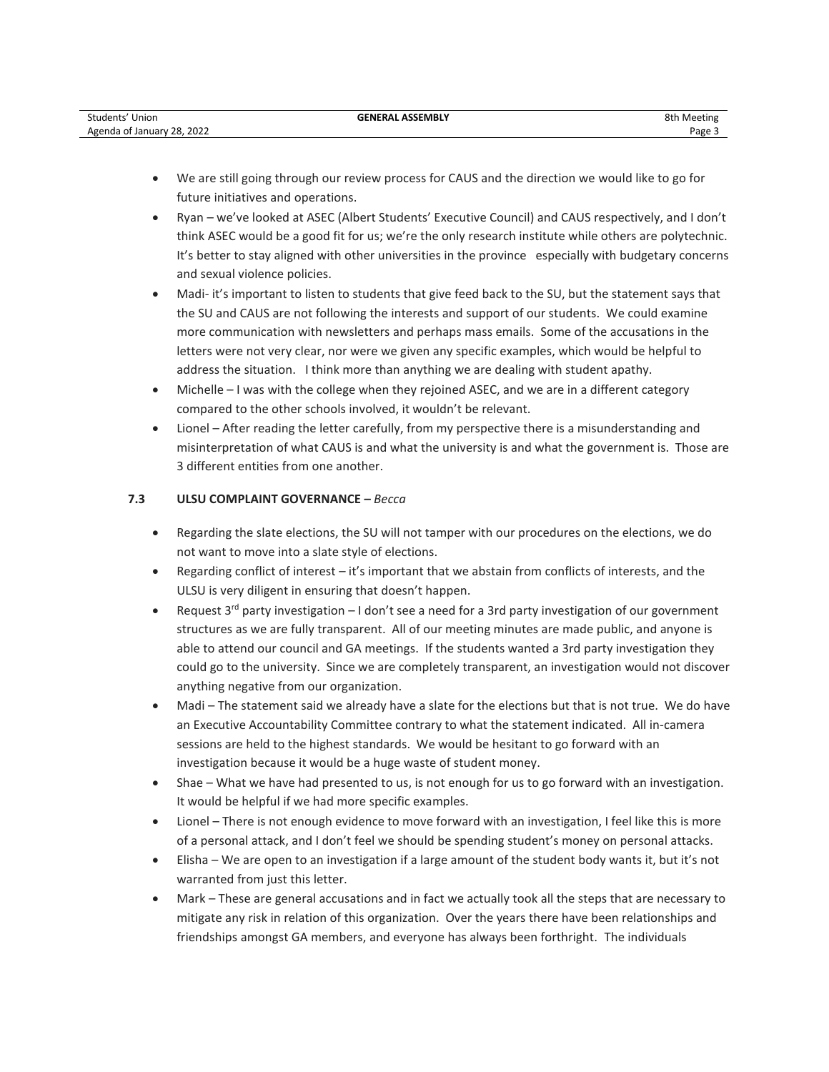| Students'<br>Union                     | . ASSEMBLY<br>GFNFRAI | 8th<br>ı Meeting |
|----------------------------------------|-----------------------|------------------|
| 28.2022<br>" Agenda of January<br>____ |                       | Page _           |

- We are still going through our review process for CAUS and the direction we would like to go for future initiatives and operations.
- Ryan we've looked at ASEC (Albert Students' Executive Council) and CAUS respectively, and I don't think ASEC would be a good fit for us; we're the only research institute while others are polytechnic. It's better to stay aligned with other universities in the province especially with budgetary concerns and sexual violence policies.
- Madi- it's important to listen to students that give feed back to the SU, but the statement says that the SU and CAUS are not following the interests and support of our students. We could examine more communication with newsletters and perhaps mass emails. Some of the accusations in the letters were not very clear, nor were we given any specific examples, which would be helpful to address the situation. I think more than anything we are dealing with student apathy.
- Michelle I was with the college when they rejoined ASEC, and we are in a different category compared to the other schools involved, it wouldn't be relevant.
- Lionel After reading the letter carefully, from my perspective there is a misunderstanding and misinterpretation of what CAUS is and what the university is and what the government is. Those are 3 different entities from one another.

# **7.3 ULSU COMPLAINT GOVERNANCE –** *Becca*

- Regarding the slate elections, the SU will not tamper with our procedures on the elections, we do not want to move into a slate style of elections.
- Regarding conflict of interest it's important that we abstain from conflicts of interests, and the ULSU is very diligent in ensuring that doesn't happen.
- Request  $3^{rd}$  party investigation  $-1$  don't see a need for a 3rd party investigation of our government structures as we are fully transparent. All of our meeting minutes are made public, and anyone is able to attend our council and GA meetings. If the students wanted a 3rd party investigation they could go to the university. Since we are completely transparent, an investigation would not discover anything negative from our organization.
- Madi The statement said we already have a slate for the elections but that is not true. We do have an Executive Accountability Committee contrary to what the statement indicated. All in-camera sessions are held to the highest standards. We would be hesitant to go forward with an investigation because it would be a huge waste of student money.
- Shae What we have had presented to us, is not enough for us to go forward with an investigation. It would be helpful if we had more specific examples.
- Lionel There is not enough evidence to move forward with an investigation, I feel like this is more of a personal attack, and I don't feel we should be spending student's money on personal attacks.
- Elisha We are open to an investigation if a large amount of the student body wants it, but it's not warranted from just this letter.
- Mark These are general accusations and in fact we actually took all the steps that are necessary to mitigate any risk in relation of this organization. Over the years there have been relationships and friendships amongst GA members, and everyone has always been forthright.The individuals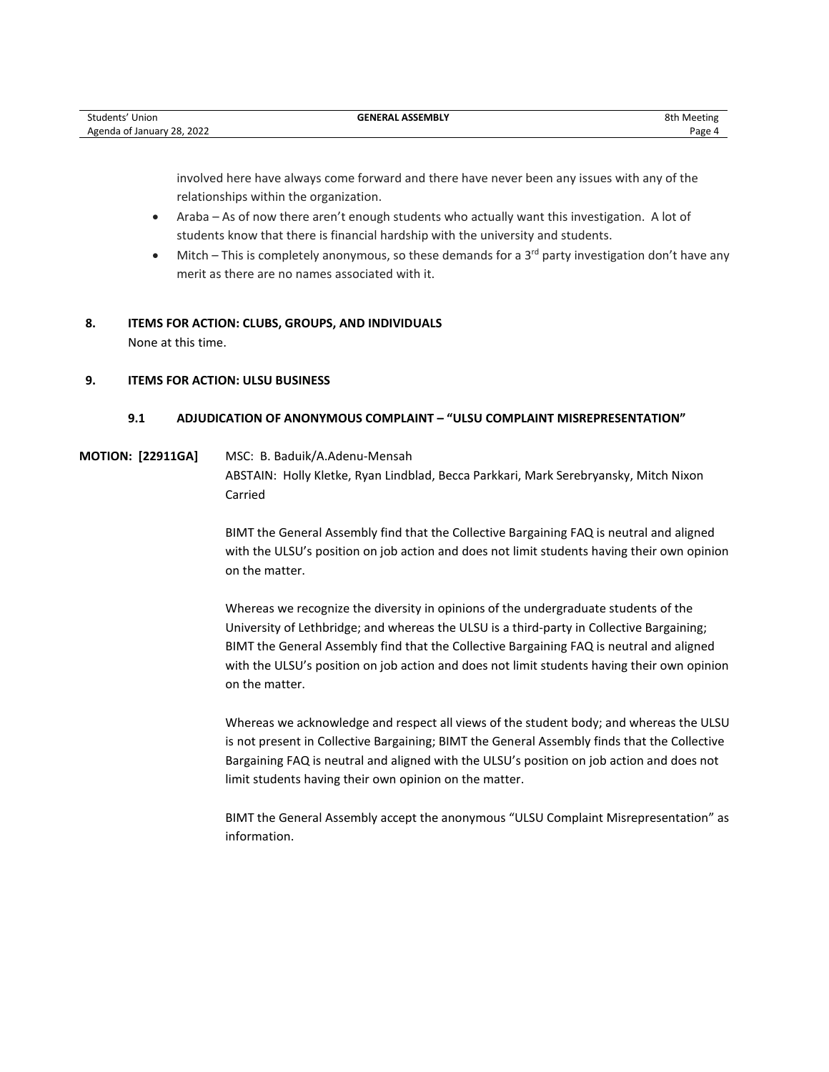| Students' Union            | <b>GENERAL ASSEMBLY</b> | 8th Meeting |
|----------------------------|-------------------------|-------------|
| Agenda of January 28, 2022 |                         | Page 4      |

involved here have always come forward and there have never been any issues with any of the relationships within the organization.

- Araba As of now there aren't enough students who actually want this investigation. A lot of students know that there is financial hardship with the university and students.
- Mitch This is completely anonymous, so these demands for a  $3<sup>rd</sup>$  party investigation don't have any merit as there are no names associated with it.

# **8. ITEMS FOR ACTION: CLUBS, GROUPS, AND INDIVIDUALS**

None at this time.

# **9. ITEMS FOR ACTION: ULSU BUSINESS**

# **9.1 ADJUDICATION OF ANONYMOUS COMPLAINT – "ULSU COMPLAINT MISREPRESENTATION"**

# **MOTION: [22911GA]** MSC: B. Baduik/A.Adenu-Mensah

ABSTAIN: Holly Kletke, Ryan Lindblad, Becca Parkkari, Mark Serebryansky, Mitch Nixon Carried

BIMT the General Assembly find that the Collective Bargaining FAQ is neutral and aligned with the ULSU's position on job action and does not limit students having their own opinion on the matter.

Whereas we recognize the diversity in opinions of the undergraduate students of the University of Lethbridge; and whereas the ULSU is a third-party in Collective Bargaining; BIMT the General Assembly find that the Collective Bargaining FAQ is neutral and aligned with the ULSU's position on job action and does not limit students having their own opinion on the matter.

Whereas we acknowledge and respect all views of the student body; and whereas the ULSU is not present in Collective Bargaining; BIMT the General Assembly finds that the Collective Bargaining FAQ is neutral and aligned with the ULSU's position on job action and does not limit students having their own opinion on the matter.

BIMT the General Assembly accept the anonymous "ULSU Complaint Misrepresentation" as information.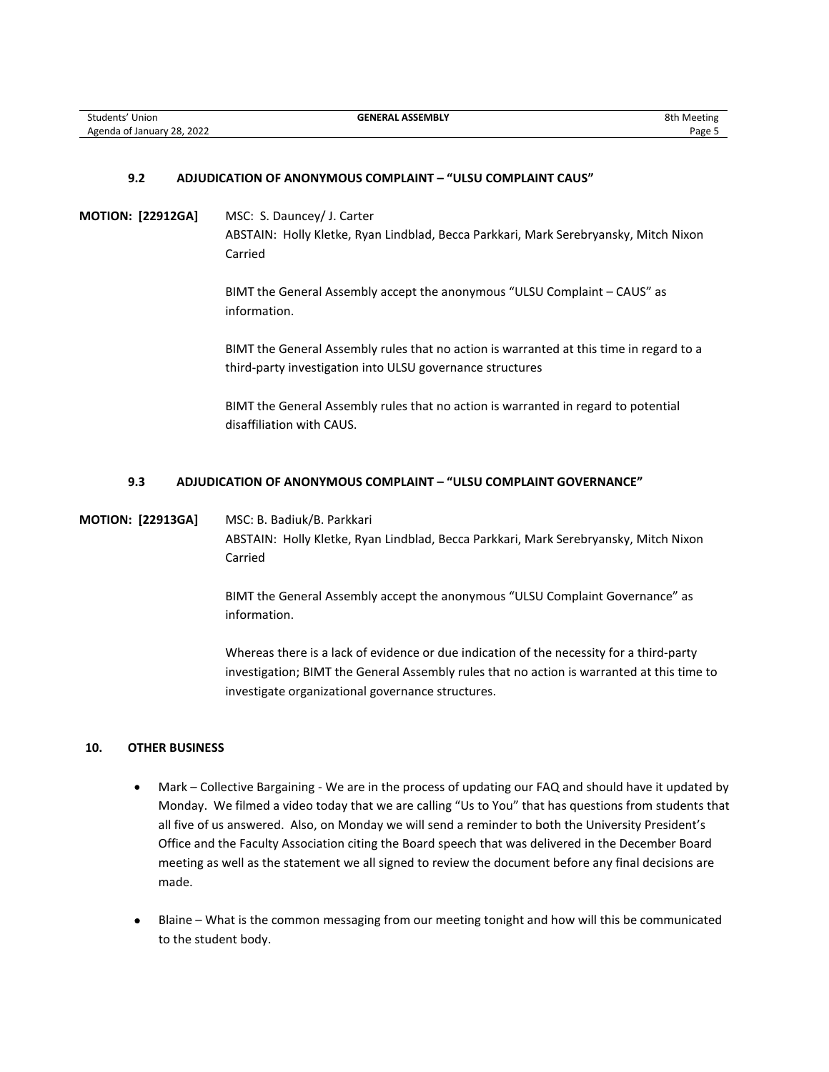## **9.2 ADJUDICATION OF ANONYMOUS COMPLAINT – "ULSU COMPLAINT CAUS"**

**MOTION: [22912GA]** MSC: S. Dauncey/ J. Carter ABSTAIN: Holly Kletke, Ryan Lindblad, Becca Parkkari, Mark Serebryansky, Mitch Nixon Carried

> BIMT the General Assembly accept the anonymous "ULSU Complaint – CAUS" as information.

BIMT the General Assembly rules that no action is warranted at this time in regard to a third-party investigation into ULSU governance structures

BIMT the General Assembly rules that no action is warranted in regard to potential disaffiliation with CAUS.

#### **9.3 ADJUDICATION OF ANONYMOUS COMPLAINT – "ULSU COMPLAINT GOVERNANCE"**

**MOTION: [22913GA]** MSC: B. Badiuk/B. Parkkari ABSTAIN: Holly Kletke, Ryan Lindblad, Becca Parkkari, Mark Serebryansky, Mitch Nixon Carried

> BIMT the General Assembly accept the anonymous "ULSU Complaint Governance" as information.

Whereas there is a lack of evidence or due indication of the necessity for a third-party investigation; BIMT the General Assembly rules that no action is warranted at this time to investigate organizational governance structures.

#### **10. OTHER BUSINESS**

- Mark Collective Bargaining We are in the process of updating our FAQ and should have it updated by Monday. We filmed a video today that we are calling "Us to You" that has questions from students that all five of us answered. Also, on Monday we will send a reminder to both the University President's Office and the Faculty Association citing the Board speech that was delivered in the December Board meeting as well as the statement we all signed to review the document before any final decisions are made.
- Blaine What is the common messaging from our meeting tonight and how will this be communicated to the student body.